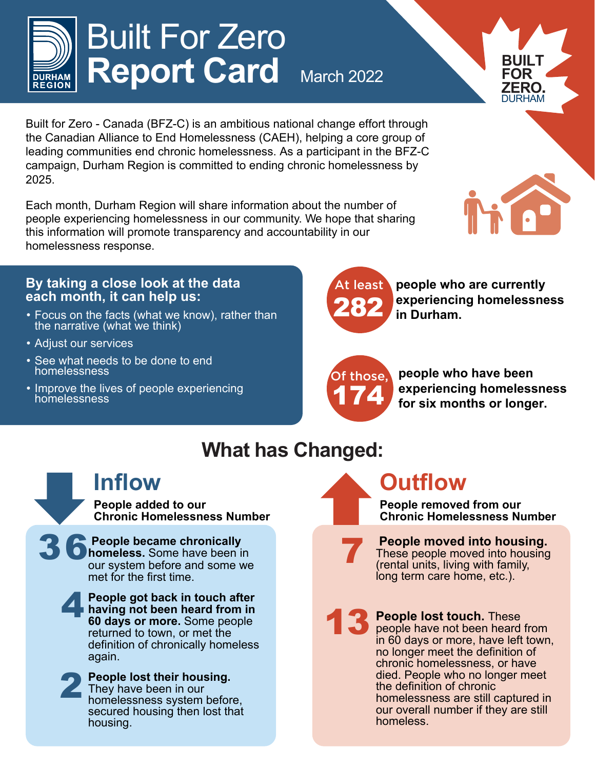

# Built For Zero **Report Card March 2022**

Built for Zero - Canada (BFZ-C) is an ambitious national change effort through the Canadian Alliance to End Homelessness (CAEH), helping a core group of leading communities end chronic homelessness. As a participant in the BFZ-C campaign, Durham Region is committed to ending chronic homelessness by 2025.

Each month, Durham Region will share information about the number of people experiencing homelessness in our community. We hope that sharing this information will promote transparency and accountability in our homelessness response.

#### **By taking a close look at the data each month, it can help us:**

- Focus on the facts (what we know), rather than the narrative (what we think)
- Adjust our services
- See what needs to be done to end homelessness
- Improve the lives of people experiencing homelessness



**people who are currently experiencing homelessness in Durham.**

Of those, 174

 **people who have been experiencing homelessness for six months or longer.**

#### **What has Changed:**

#### **Inflow**

**People added to our Chronic Homelessness Number**

36 **People became chronically homeless.** Some have been in our system before and some we met for the first time.

 4 **People got back in touch after having not been heard from in 60 days or more.** Some people returned to town, or met the definition of chronically homeless again.



**People lost their housing.** They have been in our homelessness system before, secured housing then lost that housing.

### **Outflow**

**People removed from our Chronic Homelessness Number**

#### **People moved into housing.**

These people moved into housing (rental units, living with family, long term care home, etc.).

7

**13** People lost touch. These<br>people have not been heard<br>in 60 days or more, have lef people have not been heard from in 60 days or more, have left town, no longer meet the definition of chronic homelessness, or have died. People who no longer meet the definition of chronic homelessness are still captured in our overall number if they are still homeless.



**BUILT FOR ZERO.** DURHAM